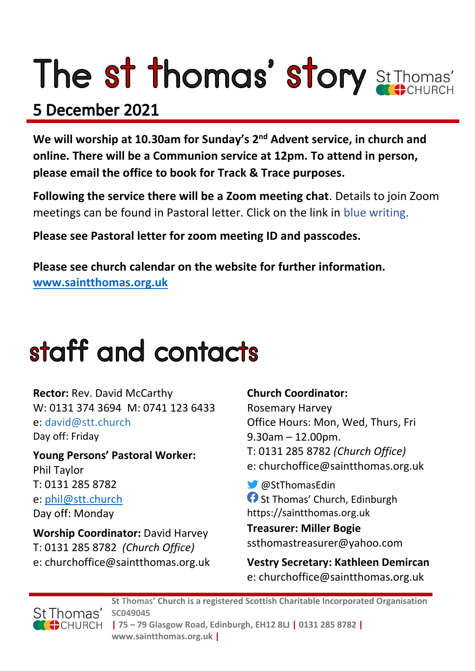# The st thomas' story St Thomas'

### 5 December 2021

**We will worship at 10.30am for Sunday's 2nd Advent service, in church and online. There will be a Communion service at 12pm. To attend in person, please email the office to book for Track & Trace purposes.**

**Following the service there will be a Zoom meeting chat**. Details to join Zoom meetings can be found in Pastoral letter. Click on the link in blue writing.

**Please see Pastoral letter for zoom meeting ID and passcodes.**

**Please see church calendar on the website for further information. [www.saintthomas.org.uk](http://www.saintthomas.org.uk/)**

### staff and contacts

**Rector:** Rev. David McCarthy W: 0131 374 3694 M: 0741 123 6433 e: david@stt.church Day off: Friday

**Young Persons' Pastoral Worker:** Phil Taylor T: 0131 285 8782 e: [phil@stt.church](mailto:phil@stt.church) Day off: Monday

**Worship Coordinator:** David Harvey T: 0131 285 8782 *(Church Office)* e: churchoffice@saintthomas.org.uk

#### **Church Coordinator:**

Rosemary Harvey Office Hours: Mon, Wed, Thurs, Fri 9.30am – 12.00pm. T: 0131 285 8782 *(Church Office)* e: churchoffice@saintthomas.org.uk

@StThomasEdin **f** St Thomas' Church, Edinburgh https://saintthomas.org.uk

**Treasurer: Miller Bogie** ssthomastreasurer@yahoo.com

**Vestry Secretary: Kathleen Demircan**  e: churchoffice@saintthomas.org.uk



**St Thomas' Church is a registered Scottish Charitable Incorporated Organisation SC049045 | 75 – 79 Glasgow Road, Edinburgh, EH12 8LJ | 0131 285 8782 | www.saintthomas.org.uk |**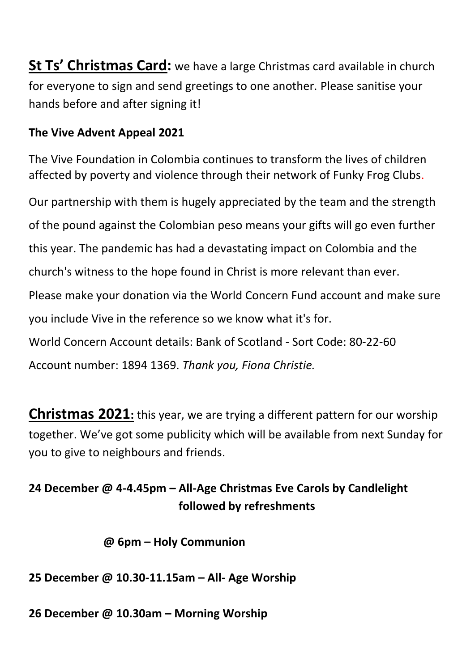**St Ts' Christmas Card:** we have a large Christmas card available in church for everyone to sign and send greetings to one another. Please sanitise your hands before and after signing it!

#### **The Vive Advent Appeal 2021**

The Vive Foundation in Colombia continues to transform the lives of children affected by poverty and violence through their network of Funky Frog Clubs.

Our partnership with them is hugely appreciated by the team and the strength of the pound against the Colombian peso means your gifts will go even further this year. The pandemic has had a devastating impact on Colombia and the church's witness to the hope found in Christ is more relevant than ever. Please make your donation via the World Concern Fund account and make sure you include Vive in the reference so we know what it's for. World Concern Account details: Bank of Scotland - Sort Code: 80-22-60 Account number: 1894 1369. *Thank you, Fiona Christie.*

**Christmas 2021:** this year, we are trying a different pattern for our worship together. We've got some publicity which will be available from next Sunday for you to give to neighbours and friends.

#### **24 December @ 4-4.45pm – All-Age Christmas Eve Carols by Candlelight followed by refreshments**

 **@ 6pm – Holy Communion**

#### **25 December @ 10.30-11.15am – All- Age Worship**

**26 December @ 10.30am – Morning Worship**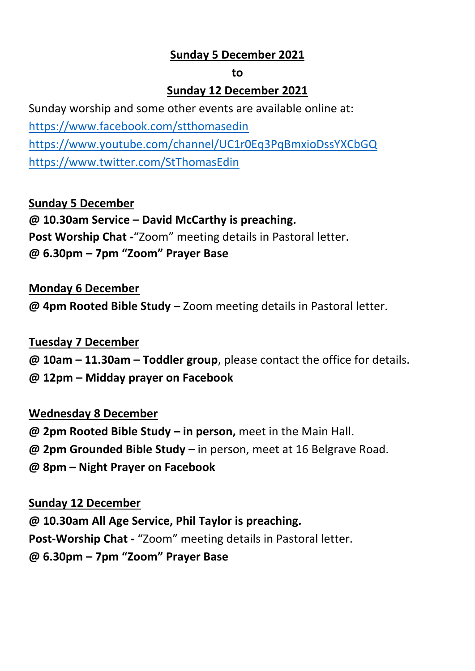#### **Sunday 5 December 2021**

#### **to**

#### **Sunday 12 December 2021**

Sunday worship and some other events are available online at: <https://www.facebook.com/stthomasedin> <https://www.youtube.com/channel/UC1r0Eq3PqBmxioDssYXCbGQ> <https://www.twitter.com/StThomasEdin>

#### **Sunday 5 December**

**@ 10.30am Service – David McCarthy is preaching. Post Worship Chat -**"Zoom" meeting details in Pastoral letter. **@ 6.30pm – 7pm "Zoom" Prayer Base**

#### **Monday 6 December**

**@ 4pm Rooted Bible Study** – Zoom meeting details in Pastoral letter.

#### **Tuesday 7 December**

**@ 10am – 11.30am – Toddler group**, please contact the office for details.

**@ 12pm – Midday prayer on Facebook**

#### **Wednesday 8 December**

**@ 2pm Rooted Bible Study – in person,** meet in the Main Hall.

**@ 2pm Grounded Bible Study** – in person, meet at 16 Belgrave Road.

**@ 8pm – Night Prayer on Facebook** 

#### **Sunday 12 December**

**@ 10.30am All Age Service, Phil Taylor is preaching.**

**Post-Worship Chat -** "Zoom" meeting details in Pastoral letter.

**@ 6.30pm – 7pm "Zoom" Prayer Base**